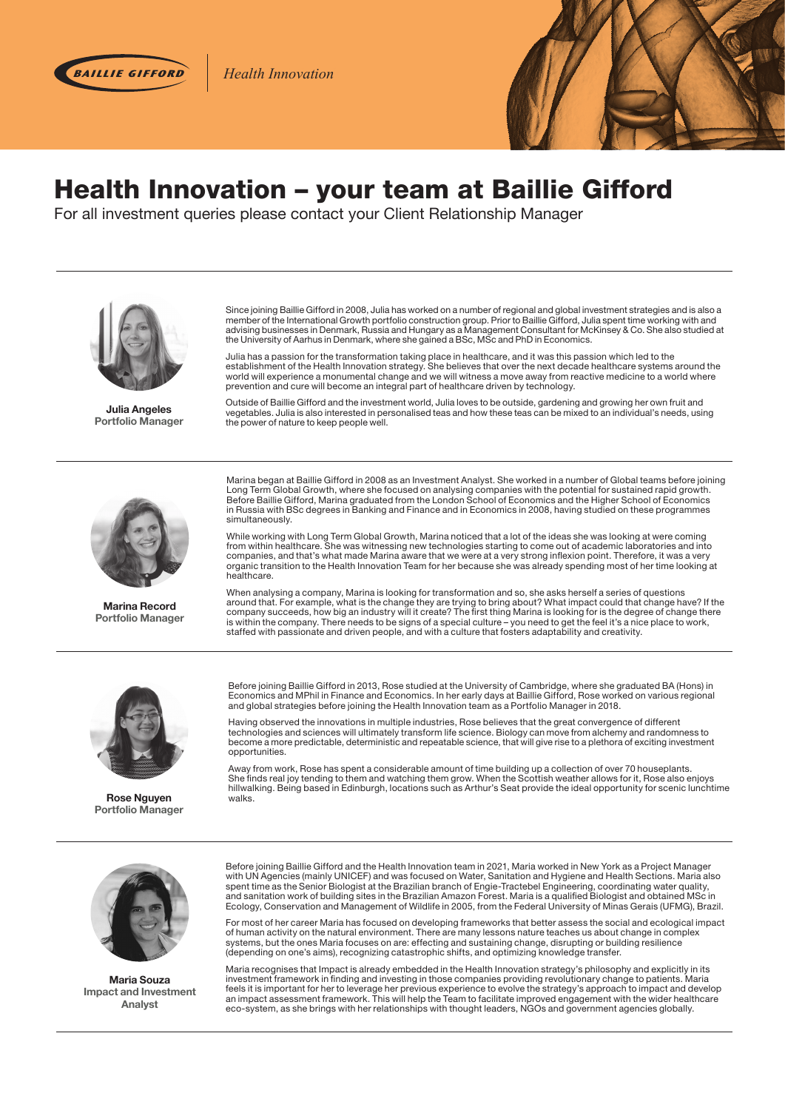

*Diversified Growth Health Innovation*



## Health Innovation – your team at Baillie Gifford

For all investment queries please contact your Client Relationship Manager



**Julia Angeles Portfolio Manager**

Since joining Baillie Gifford in 2008, Julia has worked on a number of regional and global investment strategies and is also a member of the International Growth portfolio construction group. Prior to Baillie Gifford, Julia spent time working with and<br>advising businesses in Denmark, Russia and Hungary as a Management Consultant for McKinsey & Co. the University of Aarhus in Denmark, where she gained a BSc, MSc and PhD in Economics.

Julia has a passion for the transformation taking place in healthcare, and it was this passion which led to the<br>establishment of the Health Innovation strategy. She believes that over the next decade healthcare systems aro world will experience a monumental change and we will witness a move away from reactive medicine to a world where prevention and cure will become an integral part of healthcare driven by technology.

Outside of Baillie Gifford and the investment world, Julia loves to be outside, gardening and growing her own fruit and vegetables. Julia is also interested in personalised teas and how these teas can be mixed to an individual's needs, using the power of nature to keep people well.



**Marina Record Portfolio Manager**

Marina began at Baillie Gifford in 2008 as an Investment Analyst. She worked in a number of Global teams before joining Long Term Global Growth, where she focused on analysing companies with the potential for sustained rapid growth.<br>Before Baillie Gifford, Marina graduated from the London School of Economics and the Higher School of Economi in Russia with BSc degrees in Banking and Finance and in Economics in 2008, having studied on these programmes simultaneously.

While working with Long Term Global Growth, Marina noticed that a lot of the ideas she was looking at were coming from within healthcare. She was witnessing new technologies starting to come out of academic laboratories and into companies, and that's what made Marina aware that we were at a very strong inflexion point. Therefore, it was a very<br>organic transition to the Health Innovation Team for her because she was already spending most of her tim healthcare.

When analysing a company, Marina is looking for transformation and so, she asks herself a series of questions around that. For example, what is the change they are trying to bring about? What impact could that change have? If the company succeeds, how big an industry will it create? The first thing Marina is looking for is the degree of change there is within the company. There needs to be signs of a special culture – you need to get the feel it's a nice place to work, staffed with passionate and driven people, and with a culture that fosters adaptability and creativity.



**Rose Nguyen Portfolio Manager**

Before joining Baillie Gifford in 2013, Rose studied at the University of Cambridge, where she graduated BA (Hons) in Economics and MPhil in Finance and Economics. In her early days at Baillie Gifford, Rose worked on various regional and global strategies before joining the Health Innovation team as a Portfolio Manager in 2018.

Having observed the innovations in multiple industries, Rose believes that the great convergence of different technologies and sciences will ultimately transform life science. Biology can move from alchemy and randomness to become a more predictable, deterministic and repeatable science, that will give rise to a plethora of exciting investment opportunities.

Away from work, Rose has spent a considerable amount of time building up a collection of over 70 houseplants. She finds real joy tending to them and watching them grow. When the Scottish weather allows for it, Rose also enjoys<br>hillwalking. Being based in Edinburgh, locations such as Arthur's Seat provide the ideal opportunity for walks.



**Maria Souza Impact and Investment Analyst**

Before joining Baillie Gifford and the Health Innovation team in 2021, Maria worked in New York as a Project Manager with UN Agencies (mainly UNICEF) and was focused on Water, Sanitation and Hygiene and Health Sections. Maria also spent time as the Senior Biologist at the Brazilian branch of Engie-Tractebel Engineering, coordinating water quality,<br>and sanitation work of building sites in the Brazilian Amazon Forest. Maria is a qualified Biologist an Ecology, Conservation and Management of Wildlife in 2005, from the Federal University of Minas Gerais (UFMG), Brazil.

For most of her career Maria has focused on developing frameworks that better assess the social and ecological impact<br>of human activity on the natural environment. There are many lessons nature teaches us about change in c systems, but the ones Maria focuses on are: effecting and sustaining change, disrupting or building resilience (depending on one's aims), recognizing catastrophic shifts, and optimizing knowledge transfer.

Maria recognises that Impact is already embedded in the Health Innovation strategy's philosophy and explicitly in its investment framework in finding and investing in those companies providing revolutionary change to patients. Maria feels it is important for her to leverage her previous experience to evolve the strategy's approach to impact and develop an impact assessment framework. This will help the Team to facilitate improved engagement with the wider healthcare eco-system, as she brings with her relationships with thought leaders, NGOs and government agencies globally.